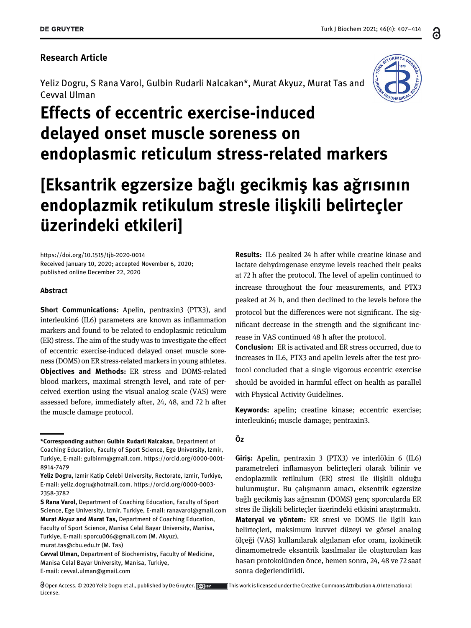### Research Article

Yeliz Dogru, S Rana Varol, Gulbin Rudarli Nalcakan\*, Murat Akyuz, Murat Tas and Cevval Ulman



# Effects of eccentric exercise-induced delayed onset muscle soreness on endoplasmic reticulum stress-related markers

## [Eksantrik egzersize bağlı gecikmiş kas ağrısının endoplazmik retikulum stresle ilişkili belirteçler üzerindeki etkileri]

<https://doi.org/10.1515/tjb-2020-0014> Received January 10, 2020; accepted November 6, 2020; published online December 22, 2020

#### Abstract

Short Communications: Apelin, pentraxin3 (PTX3), and interleukin6 (IL6) parameters are known as inflammation markers and found to be related to endoplasmic reticulum (ER) stress. The aim of the study was to investigate the effect of eccentric exercise-induced delayed onset muscle soreness (DOMS) on ER stress-related markers in young athletes. Objectives and Methods: ER stress and DOMS-related blood markers, maximal strength level, and rate of perceived exertion using the visual analog scale (VAS) were assessed before, immediately after, 24, 48, and 72 h after the muscle damage protocol.

[murat.tas@cbu.edu.tr](mailto:murat.tas@cbu.edu.tr) (M. Tas)

 $\bigcirc$ Open Access. © 2020 Yeliz Dogru et al., published by De Gruyter.  $\bigcirc$  By Finis work is licensed under the Creative Commons Attribution 4.0 International License.

Results: IL6 peaked 24 h after while creatine kinase and lactate dehydrogenase enzyme levels reached their peaks at 72 h after the protocol. The level of apelin continued to increase throughout the four measurements, and PTX3 peaked at 24 h, and then declined to the levels before the protocol but the differences were not significant. The significant decrease in the strength and the significant increase in VAS continued 48 h after the protocol.

Conclusion: ER is activated and ER stress occurred, due to increases in IL6, PTX3 and apelin levels after the test protocol concluded that a single vigorous eccentric exercise should be avoided in harmful effect on health as parallel with Physical Activity Guidelines.

Keywords: apelin; creatine kinase; eccentric exercise; interleukin6; muscle damage; pentraxin3.

#### Öz

Giriş: Apelin, pentraxin 3 (PTX3) ve interlökin 6 (IL6) parametreleri inflamasyon belirteçleri olarak bilinir ve endoplazmik retikulum (ER) stresi ile ilişkili olduğu bulunmuştur. Bu çalışmanın amacı, eksentrik egzersize bağlı gecikmiş kas ağrısının (DOMS) genç sporcularda ER stres ile ilişkili belirteçler üzerindeki etkisini araştırmaktı. Materyal ve yöntem: ER stresi ve DOMS ile ilgili kan belirteçleri, maksimum kuvvet düzeyi ve görsel analog ölçeği (VAS) kullanılarak algılanan efor oranı, izokinetik dinamometrede eksantrik kasılmalar ile oluşturulan kas hasarı protokolünden önce, hemen sonra, 24, 48 ve 72 saat sonra değerlendirildi.

႕

<sup>\*</sup>Corresponding author: Gulbin Rudarli Nalcakan, Department of Coaching Education, Faculty of Sport Science, Ege University, Izmir, Turkiye, E-mail: [gulbinrn@gmail.com.](mailto:gulbinrn@gmail.com) [https://orcid.org/0000-0001-](https://orcid.org/0000-0001-8914-7479) [8914-7479](https://orcid.org/0000-0001-8914-7479)

Yeliz Dogru, Izmir Katip Celebi University, Rectorate, Izmir, Turkiye, E-mail: [yeliz.dogru@hotmail.com](mailto:yeliz.dogru@hotmail.com). [https://orcid.org/0000-0003-](https://orcid.org/0000-0003-2358-3782) [2358-3782](https://orcid.org/0000-0003-2358-3782)

S Rana Varol, Department of Coaching Education, Faculty of Sport Science, Ege University, Izmir, Turkiye, E-mail: [ranavarol@gmail.com](mailto:ranavarol@gmail.com) Murat Akyuz and Murat Tas, Department of Coaching Education, Faculty of Sport Science, Manisa Celal Bayar University, Manisa, Turkiye, E-mail: [sporcu006@gmail.com](mailto:sporcu006@gmail.com) (M. Akyuz),

Cevval Ulman, Department of Biochemistry, Faculty of Medicine, Manisa Celal Bayar University, Manisa, Turkiye, E-mail: [cevval.ulman@gmail.com](mailto:cevval.ulman@gmail.com)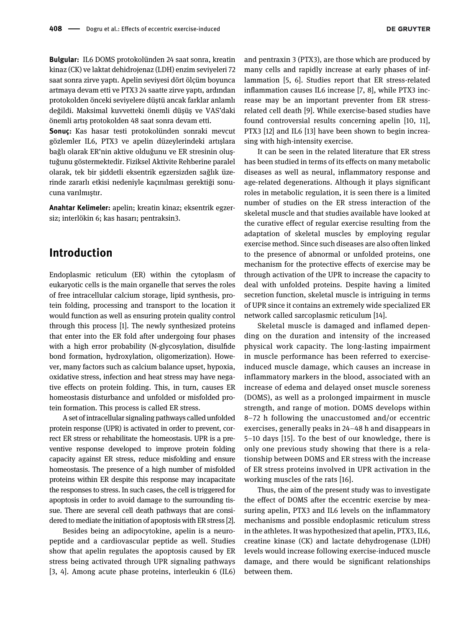**DE GRUYTER** 

Bulgular: IL6 DOMS protokolünden 24 saat sonra, kreatin kinaz (CK) ve laktat dehidrojenaz (LDH) enzim seviyeleri 72 saat sonra zirve yaptı. Apelin seviyesi dört ölçüm boyunca artmaya devam etti ve PTX3 24 saatte zirve yaptı, ardından protokolden önceki seviyelere düştü ancak farklar anlamlı değildi. Maksimal kuvvetteki önemli düşüş ve VAS'daki önemli artış protokolden 48 saat sonra devam etti.

Sonuç: Kas hasar testi protokolünden sonraki mevcut gözlemler IL6, PTX3 ve apelin düzeylerindeki artışlara bağlı olarak ER'nin aktive olduğunu ve ER stresinin oluştuğunu göstermektedir. Fiziksel Aktivite Rehberine paralel olarak, tek bir şiddetli eksentrik egzersizden sağlık üzerinde zararlı etkisi nedeniyle kaçınılması gerektiği sonucuna varılmıştır.

Anahtar Kelimeler: apelin; kreatin kinaz; eksentrik egzersiz; interlökin 6; kas hasarı; pentraksin3.

## Introduction

Endoplasmic reticulum (ER) within the cytoplasm of eukaryotic cells is the main organelle that serves the roles of free intracellular calcium storage, lipid synthesis, protein folding, processing and transport to the location it would function as well as ensuring protein quality control through this process [[1\]](#page-6-0). The newly synthesized proteins that enter into the ER fold after undergoing four phases with a high error probability (N-glycosylation, disulfide bond formation, hydroxylation, oligomerization). However, many factors such as calcium balance upset, hypoxia, oxidative stress, infection and heat stress may have negative effects on protein folding. This, in turn, causes ER homeostasis disturbance and unfolded or misfolded protein formation. This process is called ER stress.

A set of intracellular signaling pathways called unfolded protein response (UPR) is activated in order to prevent, correct ER stress or rehabilitate the homeostasis. UPR is a preventive response developed to improve protein folding capacity against ER stress, reduce misfolding and ensure homeostasis. The presence of a high number of misfolded proteins within ER despite this response may incapacitate the responses to stress. In such cases, the cell is triggered for apoptosis in order to avoid damage to the surrounding tissue. There are several cell death pathways that are considered to mediate the initiation of apoptosis with ER stress [\[2](#page-6-1)].

Besides being an adipocytokine, apelin is a neuropeptide and a cardiovascular peptide as well. Studies show that apelin regulates the apoptosis caused by ER stress being activated through UPR signaling pathways [\[3, 4\]](#page-6-2). Among acute phase proteins, interleukin 6 (IL6)

and pentraxin 3 (PTX3), are those which are produced by many cells and rapidly increase at early phases of inflammation [\[5, 6\]](#page-6-3). Studies report that ER stress-related inflammation causes IL6 increase [[7, 8\]](#page-6-4), while PTX3 increase may be an important preventer from ER stressrelated cell death [[9\]](#page-6-5). While exercise-based studies have found controversial results concerning apelin [[10, 11\]](#page-6-6), PTX3 [[12](#page-6-7)] and IL6 [[13\]](#page-6-8) have been shown to begin increasing with high-intensity exercise.

It can be seen in the related literature that ER stress has been studied in terms of its effects on many metabolic diseases as well as neural, inflammatory response and age-related degenerations. Although it plays significant roles in metabolic regulation, it is seen there is a limited number of studies on the ER stress interaction of the skeletal muscle and that studies available have looked at the curative effect of regular exercise resulting from the adaptation of skeletal muscles by employing regular exercise method. Since such diseases are also often linked to the presence of abnormal or unfolded proteins, one mechanism for the protective effects of exercise may be through activation of the UPR to increase the capacity to deal with unfolded proteins. Despite having a limited secretion function, skeletal muscle is intriguing in terms of UPR since it contains an extremely wide specialized ER network called sarcoplasmic reticulum [\[14](#page-6-9)].

Skeletal muscle is damaged and inflamed depending on the duration and intensity of the increased physical work capacity. The long-lasting impairment in muscle performance has been referred to exerciseinduced muscle damage, which causes an increase in inflammatory markers in the blood, associated with an increase of edema and delayed onset muscle soreness (DOMS), as well as a prolonged impairment in muscle strength, and range of motion. DOMS develops within 8–72 h following the unaccustomed and/or eccentric exercises, generally peaks in 24–48 h and disappears in 5–10 days [[15\]](#page-6-10). To the best of our knowledge, there is only one previous study showing that there is a relationship between DOMS and ER stress with the increase of ER stress proteins involved in UPR activation in the working muscles of the rats [\[16\]](#page-6-11).

Thus, the aim of the present study was to investigate the effect of DOMS after the eccentric exercise by measuring apelin, PTX3 and IL6 levels on the inflammatory mechanisms and possible endoplasmic reticulum stress in the athletes. It was hypothesized that apelin, PTX3, IL6, creatine kinase (CK) and lactate dehydrogenase (LDH) levels would increase following exercise-induced muscle damage, and there would be significant relationships between them.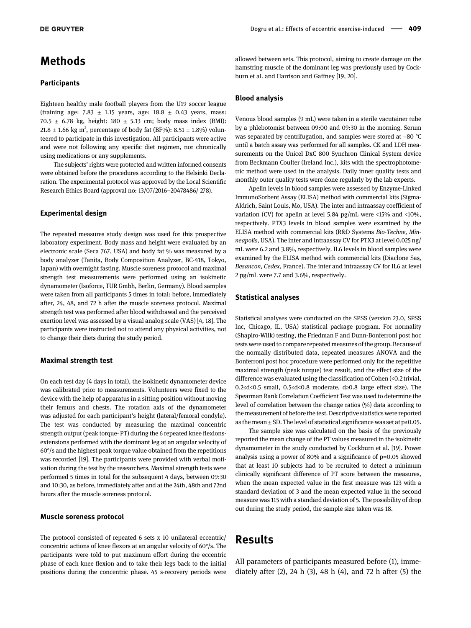## Methods

#### **Participants**

Eighteen healthy male football players from the U19 soccer league (training age:  $7.83 \pm 1.15$  years, age:  $18.8 \pm 0.43$  years, mass: 70.5  $\pm$  6.78 kg, height: 180  $\pm$  5.13 cm; body mass index (BMI): 21.8  $\pm$  1.66 kg m<sup>2</sup>, percentage of body fat (BF%): 8.51  $\pm$  1.8%) volunteered to participate in this investigation. All participants were active and were not following any specific diet regimen, nor chronically using medications or any supplements.

The subjects' rights were protected and written informed consents were obtained before the procedures according to the Helsinki Declaration. The experimental protocol was approved by the Local Scientific Research Ethics Board (approval no: 13/07/2016–20478486/ 278).

#### Experimental design

The repeated measures study design was used for this prospective laboratory experiment. Body mass and height were evaluated by an electronic scale (Seca 767, USA) and body fat % was measured by a body analyzer (Tanita, Body Composition Analyzer, BC-418, Tokyo, Japan) with overnight fasting. Muscle soreness protocol and maximal strength test measurements were performed using an isokinetic dynamometer (Isoforce, TUR Gmbh, Berlin, Germany). Blood samples were taken from all participants 5 times in total: before, immediately after, 24, 48, and 72 h after the muscle soreness protocol. Maximal strength test was performed after blood withdrawal and the perceived exertion level was assessed by a visual analog scale (VAS) [[4, 18](#page-6-12)]. The participants were instructed not to attend any physical activities, not to change their diets during the study period.

#### Maximal strength test

On each test day (4 days in total), the isokinetic dynamometer device was calibrated prior to measurements. Volunteers were fixed to the device with the help of apparatus in a sitting position without moving their femurs and chests. The rotation axis of the dynamometer was adjusted for each participant's height (lateral/femoral condyle). The test was conducted by measuring the maximal concentric strength output (peak torque- PT) during the 6 repeated knee flexionsextensions performed with the dominant leg at an angular velocity of 60°/s and the highest peak torque value obtained from the repetitions was recorded [[19](#page-6-13)]. The participants were provided with verbal motivation during the test by the researchers. Maximal strength tests were performed 5 times in total for the subsequent 4 days, between 09:30 and 10:30, as before, immediately after and at the 24th, 48th and 72nd hours after the muscle soreness protocol.

#### Muscle soreness protocol

The protocol consisted of repeated 6 sets x 10 unilateral eccentric/ concentric actions of knee flexors at an angular velocity of 60°/s. The participants were told to put maximum effort during the eccentric phase of each knee flexion and to take their legs back to the initial positions during the concentric phase. 45 s-recovery periods were

allowed between sets. This protocol, aiming to create damage on the hamstring muscle of the dominant leg was previously used by Cockburn et al. and Harrison and Gaffney [[19, 20\]](#page-6-13).

#### Blood analysis

Venous blood samples (9 mL) were taken in a sterile vacutainer tube by a phlebotomist between 09:00 and 09:30 in the morning. Serum was separated by centrifugation, and samples were stored at −80 °C until a batch assay was performed for all samples. CK and LDH measurements on the Unicel DxC 800 Synchron Clinical System device from Beckmann Coulter (Ireland Inc.), kits with the spectrophotometric method were used in the analysis. Daily inner quality tests and monthly outer quality tests were done regularly by the lab experts.

Apelin levels in blood samples were assessed by Enzyme-Linked ImmunoSorbent Assay (ELISA) method with commercial kits (Sigma-Aldrich, Saint Louis, Mo, USA). The inter and intraassay coefficient of variation (CV) for apelin at level 5.84 pg/mL were <15% and <10%, respectively. PTX3 levels in blood samples were examined by the ELISA method with commercial kits (R&D Systems Bio-Techne, Minneapolis, USA). The inter and intraassay CV for PTX3 at level 0.025 ng/ mL were 6.2 and 3.8%, respectively. IL6 levels in blood samples were examined by the ELISA method with commercial kits (Diaclone Sas, Besancon, Cedex, France). The inter and intraassay CV for IL6 at level 2 pg/mL were 7.7 and 3.6%, respectively.

#### Statistical analyses

Statistical analyses were conducted on the SPSS (version 23.0, SPSS Inc, Chicago, IL, USA) statistical package program. For normality (Shapiro-Wilk) testing, the Friedman F and Dunn-Bonferroni post hoc tests were used to compare repeated measures of the group. Because of the normally distributed data, repeated measures ANOVA and the Bonferroni post hoc procedure were performed only for the repetitive maximal strength (peak torque) test result, and the effect size of the difference was evaluated using the classification of Cohen (<0.2 trivial, 0.2≤d<0.5 small, 0.5≤d<0.8 moderate, d≥0.8 large effect size). The Spearman Rank Correlation Coefficient Test was used to determine the level of correlation between the change ratios (%) data according to the measurement of before the test. Descriptive statistics were reported as the mean  $\pm$  SD. The level of statistical significance was set at p≤0.05.

The sample size was calculated on the basis of the previously reported the mean change of the PT values measured in the isokinetic dynamometer in the study conducted by Cockburn et al. [\[19\]](#page-6-13). Power analysis using a power of 80% and a significance of p=0.05 showed that at least 10 subjects had to be recruited to detect a minimum clinically significant difference of PT score between the measures, when the mean expected value in the first measure was 123 with a standard deviation of 3 and the mean expected value in the second measure was 115 with a standard deviation of 5. The possibility of drop out during the study period, the sample size taken was 18.

## Results

All parameters of participants measured before (1), immediately after (2), 24 h (3), 48 h (4), and 72 h after (5) the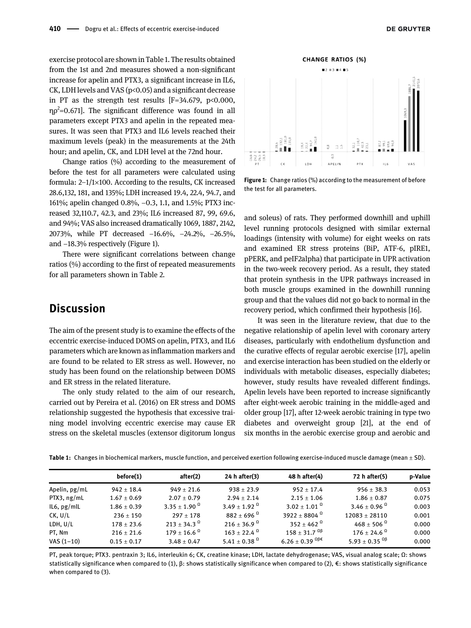exercise protocol are shown in [Table 1](#page-3-0). The results obtained from the 1st and 2nd measures showed a non-significant increase for apelin and PTX3, a significant increase in IL6, CK, LDH levels and VAS (p<0.05) and a significant decrease in PT as the strength test results  $[F=34.679, p<0.000,$ η $ρ<sup>2</sup>=0.671$ ]. The significant difference was found in all parameters except PTX3 and apelin in the repeated measures. It was seen that PTX3 and IL6 levels reached their maximum levels (peak) in the measurements at the 24th hour; and apelin, CK, and LDH level at the 72nd hour.

Change ratios (%) according to the measurement of before the test for all parameters were calculated using formula:  $2-1/1\times100$ . According to the results, CK increased 28.6,132, 181, and 135%; LDH increased 19.4, 22.4, 94.7, and 161%; apelin changed 0.8%, −0.3, 1.1, and 1.5%; PTX3 increased 32,110.7, 42.3, and 23%; IL6 increased 87, 99, 69.6, and 94%; VAS also increased dramatically 1069, 1887, 2142, 2073%, while PT decreased −16.6%, −24.2%, −26.5%, and −18.3% respectively ([Figure 1](#page-3-1)).

There were significant correlations between change ratios (%) according to the first of repeated measurements for all parameters shown in [Table 2.](#page-4-0)

## **Discussion**

The aim of the present study is to examine the effects of the eccentric exercise-induced DOMS on apelin, PTX3, and IL6 parameters which are known as inflammation markers and are found to be related to ER stress as well. However, no study has been found on the relationship between DOMS and ER stress in the related literature.

The only study related to the aim of our research, carried out by Pereira et al. (2016) on ER stress and DOMS relationship suggested the hypothesis that excessive training model involving eccentric exercise may cause ER stress on the skeletal muscles (extensor digitorum longus



<span id="page-3-1"></span>Figure 1: Change ratios (%) according to the measurement of before the test for all parameters.

and soleus) of rats. They performed downhill and uphill level running protocols designed with similar external loadings (intensity with volume) for eight weeks on rats and examined ER stress proteins (BiP, ATF-6, pIRE1, pPERK, and peIF2alpha) that participate in UPR activation in the two-week recovery period. As a result, they stated that protein synthesis in the UPR pathways increased in both muscle groups examined in the downhill running group and that the values did not go back to normal in the recovery period, which confirmed their hypothesis [\[16](#page-6-11)].

It was seen in the literature review, that due to the negative relationship of apelin level with coronary artery diseases, particularly with endothelium dysfunction and the curative effects of regular aerobic exercise [\[17\]](#page-6-14), apelin and exercise interaction has been studied on the elderly or individuals with metabolic diseases, especially diabetes; however, study results have revealed different findings. Apelin levels have been reported to increase significantly after eight-week aerobic training in the middle-aged and older group [\[17\]](#page-6-14), after 12-week aerobic training in type two diabetes and overweight group [[21\]](#page-6-15), at the end of six months in the aerobic exercise group and aerobic and

<span id="page-3-0"></span>

|  |  |  |  | Table 1: Changes in biochemical markers, muscle function, and perceived exertion following exercise-induced muscle damage (mean ± SD). |
|--|--|--|--|----------------------------------------------------------------------------------------------------------------------------------------|
|--|--|--|--|----------------------------------------------------------------------------------------------------------------------------------------|

|                 | before(1)       | after(2)                   | 24 h after(3)             | 48 h after(4)                    | 72 h after(5)                        | p-Value |
|-----------------|-----------------|----------------------------|---------------------------|----------------------------------|--------------------------------------|---------|
| Apelin, $pg/mL$ | $942 \pm 18.4$  | $949 \pm 21.6$             | $938 \pm 23.9$            | $952 \pm 17.4$                   | $956 \pm 38.3$                       | 0.053   |
| PTX3, ng/mL     | $1.67 \pm 0.69$ | $2.07 \pm 0.79$            | $2.94 \pm 2.14$           | $2.15 \pm 1.06$                  | $1.86 \pm 0.87$                      | 0.075   |
| IL6, pg/mL      | $1.86 \pm 0.39$ | 3.35 + 1.90 $^{\Omega}$    | 3.49 + 1.92 $^{\Omega}$   | $3.02 + 1.01$ <sup>Q</sup>       | 3.46 ± 0.96 $^{\Omega}$              | 0.003   |
| CK, U/L         | $236 \pm 150$   | $297 + 178$                | $882 \pm 696$ $^{\Omega}$ | 3922 + 8804 $^{\Omega}$          | $12083 + 28110$                      | 0.001   |
| LDH, U/L        | $178 \pm 23.6$  | $213 + 34.3$ <sup>0</sup>  | $216 + 36.9$ <sup>0</sup> | 352 + 462 $^{\Omega}$            | $468 \pm 506$ $^{\Omega}$            | 0.000   |
| PT, Nm          | $216 \pm 21.6$  | $179 \pm 16.6$ $^{\Omega}$ | $163 + 22.4$ <sup>0</sup> | $158 + 31.7$ $^{0\beta}$         | $176 \pm 24.6$ <sup>0</sup>          | 0.000   |
| $VAS (1-10)$    | $0.15 \pm 0.17$ | $3.48 \pm 0.47$            | 5.41 + 0.38 $^{\Omega}$   | 6.26 ± 0.39 $^{\Omega\beta \in}$ | 5.93 ± 0.35 $^{\Omega}$ <sup>8</sup> | 0.000   |

PT, peak torque; PTX3. pentraxin 3; IL6, interleukin 6; CK, creatine kinase; LDH, lactate dehydrogenase; VAS, visual analog scale; Ω: shows statistically significance when compared to (1), β: shows statistically significance when compared to (2), €: shows statistically significance when compared to  $(3)$ .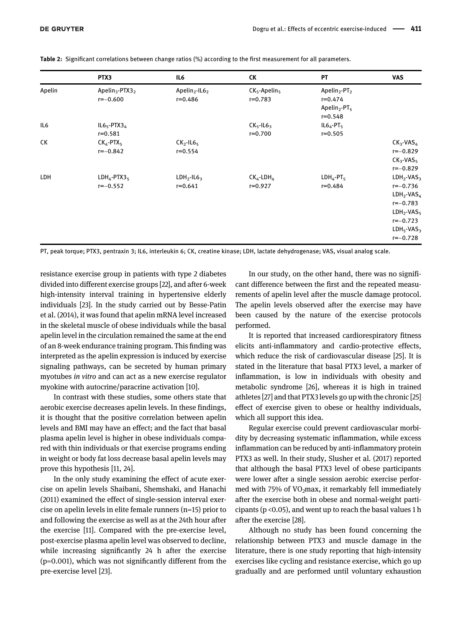|        | PTX3                                                   | IL6                                                  | СK                                           | PT                                                                                                         | <b>VAS</b>                                                                                                                     |
|--------|--------------------------------------------------------|------------------------------------------------------|----------------------------------------------|------------------------------------------------------------------------------------------------------------|--------------------------------------------------------------------------------------------------------------------------------|
| Apelin | Apelin <sub>3</sub> -PTX3 <sub>2</sub><br>$r = -0.600$ | Apelin <sub>2</sub> -IL6 <sub>2</sub><br>$r = 0.486$ | $CK_{5}$ -Apelin <sub>5</sub><br>$r = 0.783$ | Apelin <sub>2</sub> -PT <sub>2</sub><br>$r = 0.474$<br>Apelin <sub>2</sub> -PT <sub>5</sub><br>$r = 0.548$ |                                                                                                                                |
| IL6    | $IL65$ -PTX3 <sub>4</sub><br>$r = 0.581$               |                                                      | $CK_{5}$ -IL6 <sub>3</sub><br>$r = 0.700$    | $IL64 - PT5$<br>$r = 0.505$                                                                                |                                                                                                                                |
| CК     | $CK_4$ -PTX <sub>5</sub><br>$r = -0.842$               | $CK2$ -IL6 <sub>5</sub><br>$r = 0.554$               |                                              |                                                                                                            | $CK_{3}$ -VAS <sub>4</sub><br>$r = -0.829$<br>$CK_{3}$ -VAS <sub>5</sub><br>$r=-0.829$                                         |
| LDH    | $LDH_4$ -PTX3 <sub>5</sub><br>$r = -0.552$             | $LDH2$ -IL6 <sub>3</sub><br>$r = 0.641$              | $CK_4$ -LDH <sub>4</sub><br>$r = 0.927$      | $LDH_4-PT_5$<br>$r = 0.484$                                                                                | $LDH2-VAS3$<br>$r=-0.736$<br>$LDH_2$ -VAS <sub>4</sub><br>$r=-0.783$<br>$LDH2-VAS5$<br>$r=-0.723$<br>$LDH5-VAS3$<br>$r=-0.728$ |

<span id="page-4-0"></span>Table 2: Significant correlations between change ratios (%) according to the first measurement for all parameters.

PT, peak torque; PTX3, pentraxin 3; IL6, interleukin 6; CK, creatine kinase; LDH, lactate dehydrogenase; VAS, visual analog scale.

resistance exercise group in patients with type 2 diabetes divided into different exercise groups [\[22\]](#page-6-16), and after 6-week high-intensity interval training in hypertensive elderly individuals [\[23](#page-7-0)]. In the study carried out by Besse-Patin et al. (2014), it was found that apelin mRNA level increased in the skeletal muscle of obese individuals while the basal apelin level in the circulation remained the same at the end of an 8-week endurance training program. This finding was interpreted as the apelin expression is induced by exercise signaling pathways, can be secreted by human primary myotubes in vitro and can act as a new exercise regulator myokine with autocrine/paracrine activation [\[10](#page-6-6)].

In contrast with these studies, some others state that aerobic exercise decreases apelin levels. In these findings, it is thought that the positive correlation between apelin levels and BMI may have an effect; and the fact that basal plasma apelin level is higher in obese individuals compared with thin individuals or that exercise programs ending in weight or body fat loss decrease basal apelin levels may prove this hypothesis [\[11, 24](#page-6-17)].

In the only study examining the effect of acute exercise on apelin levels Shaibani, Shemshaki, and Hanachi (2011) examined the effect of single-session interval exercise on apelin levels in elite female runners (n=15) prior to and following the exercise as well as at the 24th hour after the exercise [\[11\]](#page-6-17). Compared with the pre-exercise level, post-exercise plasma apelin level was observed to decline, while increasing significantly 24 h after the exercise (p=0.001), which was not significantly different from the pre-exercise level [[23\]](#page-7-0).

In our study, on the other hand, there was no significant difference between the first and the repeated measurements of apelin level after the muscle damage protocol. The apelin levels observed after the exercise may have been caused by the nature of the exercise protocols performed.

It is reported that increased cardiorespiratory fitness elicits anti-inflammatory and cardio-protective effects, which reduce the risk of cardiovascular disease [\[25\]](#page-7-1). It is stated in the literature that basal PTX3 level, a marker of inflammation, is low in individuals with obesity and metabolic syndrome [[26\]](#page-7-2), whereas it is high in trained athletes [[27\]](#page-7-3) and that PTX3 levels go up with the chronic [[25](#page-7-1)] effect of exercise given to obese or healthy individuals, which all support this idea.

Regular exercise could prevent cardiovascular morbidity by decreasing systematic inflammation, while excess inflammation can be reduced by anti-inflammatory protein PTX3 as well. In their study, Slusher et al. (2017) reported that although the basal PTX3 level of obese participants were lower after a single session aerobic exercise performed with 75% of VO<sub>2</sub>max, it remarkably fell immediately after the exercise both in obese and normal-weight participants (p <0.05), and went up to reach the basal values 1 h after the exercise [\[28](#page-7-4)].

Although no study has been found concerning the relationship between PTX3 and muscle damage in the literature, there is one study reporting that high-intensity exercises like cycling and resistance exercise, which go up gradually and are performed until voluntary exhaustion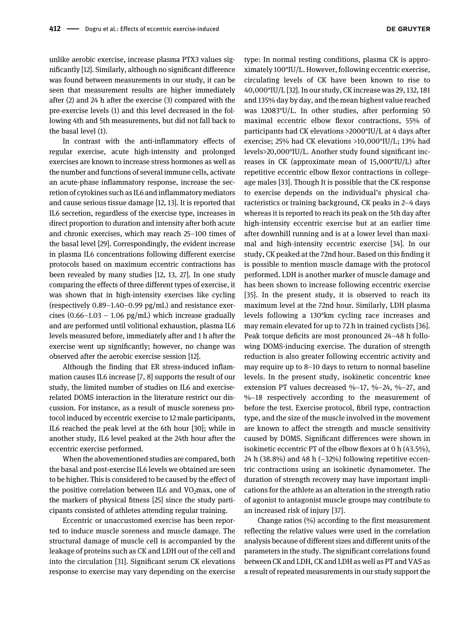unlike aerobic exercise, increase plasma PTX3 values significantly [[12\]](#page-6-7). Similarly, although no significant difference was found between measurements in our study, it can be seen that measurement results are higher immediately after (2) and 24 h after the exercise (3) compared with the pre-exercise levels (1) and this level decreased in the following 4th and 5th measurements, but did not fall back to the basal level (1).

In contrast with the anti-inflammatory effects of regular exercise, acute high-intensity and prolonged exercises are known to increase stress hormones as well as the number and functions of several immune cells, activate an acute-phase inflammatory response, increase the secretion of cytokines such as IL6 and inflammatory mediators and cause serious tissue damage [\[12, 13\]](#page-6-7). It is reported that IL6 secretion, regardless of the exercise type, increases in direct proportion to duration and intensity after both acute and chronic exercises, which may reach 25–100 times of the basal level [\[29\]](#page-7-5). Correspondingly, the evident increase in plasma IL6 concentrations following different exercise protocols based on maximum eccentric contractions has been revealed by many studies [[12, 13, 27\]](#page-6-7). In one study comparing the effects of three different types of exercise, it was shown that in high-intensity exercises like cycling (respectively 0.89–1.40–0.99 pg/mL) and resistance exercises  $(0.66-1.03 - 1.06 \text{ pg/mL})$  which increase gradually and are performed until volitional exhaustion, plasma IL6 levels measured before, immediately after and 1 h after the exercise went up significantly; however, no change was observed after the aerobic exercise session [[12\]](#page-6-7).

Although the finding that ER stress-induced inflammation causes IL6 increase [\[7, 8\]](#page-6-4) supports the result of our study, the limited number of studies on IL6 and exerciserelated DOMS interaction in the literature restrict our discussion. For instance, as a result of muscle soreness protocol induced by eccentric exercise to 12 male participants, IL6 reached the peak level at the 6th hour [\[30](#page-7-6)]; while in another study, IL6 level peaked at the 24th hour after the eccentric exercise performed.

When the abovementioned studies are compared, both the basal and post-exercise IL6 levels we obtained are seen to be higher. This is considered to be caused by the effect of the positive correlation between IL6 and  $VO<sub>2</sub>$ max, one of the markers of physical fitness [\[25\]](#page-7-1) since the study participants consisted of athletes attending regular training.

Eccentric or unaccustomed exercise has been reported to induce muscle soreness and muscle damage. The structural damage of muscle cell is accompanied by the leakage of proteins such as CK and LDH out of the cell and into the circulation [\[31\]](#page-7-7). Significant serum CK elevations response to exercise may vary depending on the exercise

type: In normal resting conditions, plasma CK is approximately 100°IU/L. However, following eccentric exercise, circulating levels of CK have been known to rise to 40,000°IU/L [\[32\]](#page-7-8). In our study, CK increase was 29, 132, 181 and 135% day by day, and the mean highest value reached was 12083°U/L. In other studies, after performing 50 maximal eccentric elbow flexor contractions, 55% of participants had CK elevations >2000°IU/L at 4 days after exercise; 25% had CK elevations >10,000°IU/L; 13% had levels>20,000°IU/L. Another study found significant increases in CK (approximate mean of 15,000°IU/L) after repetitive eccentric elbow flexor contractions in collegeage males [[33](#page-7-9)]. Though It is possible that the CK response to exercise depends on the individual's physical characteristics or training background, CK peaks in 2–4 days whereas it is reported to reach its peak on the 5th day after high-intensity eccentric exercise but at an earlier time after downhill running and is at a lower level than maximal and high-intensity eccentric exercise [[34](#page-7-10)]. In our study, CK peaked at the 72nd hour. Based on this finding it is possible to mention muscle damage with the protocol performed. LDH is another marker of muscle damage and has been shown to increase following eccentric exercise [[35\]](#page-7-11). In the present study, it is observed to reach its maximum level at the 72nd hour. Similarly, LDH plasma levels following a 130°km cycling race increases and may remain elevated for up to 72 h in trained cyclists [\[36\]](#page-7-12). Peak torque deficits are most pronounced 24–48 h following DOMS-inducing exercise. The duration of strength reduction is also greater following eccentric activity and may require up to 8–10 days to return to normal baseline levels. In the present study, isokinetic concentric knee extension PT values decreased %−17, %−24, %−27, and %–18 respectively according to the measurement of before the test. Exercise protocol, fibril type, contraction type, and the size of the muscle involved in the movement are known to affect the strength and muscle sensitivity caused by DOMS. Significant differences were shown in isokinetic eccentric PT of the elbow flexors at 0 h (43.5%), 24 h (38.8%) and 48 h (−32%) following repetitive eccentric contractions using an isokinetic dynamometer. The duration of strength recovery may have important implications for the athlete as an alteration in the strength ratio of agonist to antagonist muscle groups may contribute to an increased risk of injury [\[37](#page-7-13)].

Change ratios (%) according to the first measurement reflecting the relative values were used in the correlation analysis because of different sizes and different units of the parameters in the study. The significant correlations found between CK and LDH, CK and LDH as well as PT and VAS as a result of repeated measurements in our study support the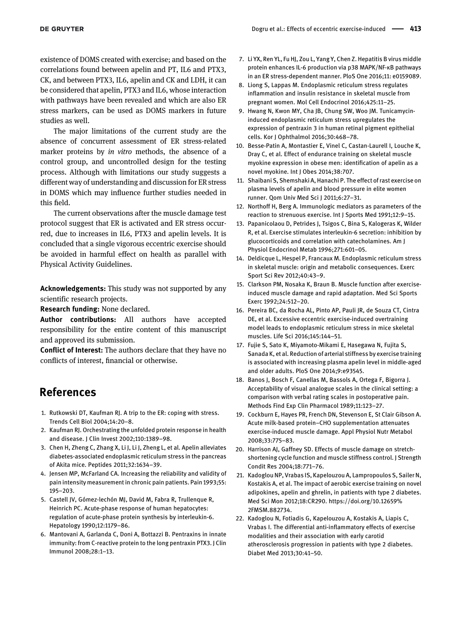existence of DOMS created with exercise; and based on the correlations found between apelin and PT, IL6 and PTX3, CK, and between PTX3, IL6, apelin and CK and LDH, it can be considered that apelin, PTX3 and IL6, whose interaction with pathways have been revealed and which are also ER stress markers, can be used as DOMS markers in future studies as well.

The major limitations of the current study are the absence of concurrent assessment of ER stress-related marker proteins by in vitro methods, the absence of a control group, and uncontrolled design for the testing process. Although with limitations our study suggests a different way of understanding and discussion for ER stress in DOMS which may influence further studies needed in this field.

The current observations after the muscle damage test protocol suggest that ER is activated and ER stress occurred, due to increases in IL6, PTX3 and apelin levels. It is concluded that a single vigorous eccentric exercise should be avoided in harmful effect on health as parallel with Physical Activity Guidelines.

Acknowledgements: This study was not supported by any scientific research projects.

Research funding: None declared.

Author contributions: All authors have accepted responsibility for the entire content of this manuscript and approved its submission.

Conflict of Interest: The authors declare that they have no conflicts of interest, financial or otherwise.

## References

- <span id="page-6-0"></span>1. Rutkowski DT, Kaufman RJ. A trip to the ER: coping with stress. Trends Cell Biol 2004;14:20–8.
- <span id="page-6-1"></span>2. Kaufman RJ. Orchestrating the unfolded protein response in health and disease. J Clin Invest 2002;110:1389–98.
- <span id="page-6-2"></span>3. Chen H, Zheng C, Zhang X, Li J, Li J, Zheng L, et al. Apelin alleviates diabetes-associated endoplasmic reticulum stress in the pancreas of Akita mice. Peptides 2011;32:1634–39.
- <span id="page-6-12"></span>4. Jensen MP, McFarland CA. Increasing the reliability and validity of pain intensity measurement in chronic pain patients. Pain 1993;55: 195–203.
- <span id="page-6-3"></span>5. Castell JV, Gómez‐lechón MJ, David M, Fabra R, Trullenque R, Heinrich PC. Acute‐phase response of human hepatocytes: regulation of acute‐phase protein synthesis by interleukin‐6. Hepatology 1990;12:1179–86.
- 6. Mantovani A, Garlanda C, Doni A, Bottazzi B. Pentraxins in innate immunity: from C-reactive protein to the long pentraxin PTX3. J Clin Immunol 2008;28:1–13.
- <span id="page-6-4"></span>7. Li YX, Ren YL, Fu HJ, Zou L, Yang Y, Chen Z. Hepatitis B virus middle protein enhances IL-6 production via p38 MAPK/NF-κB pathways in an ER stress-dependent manner. PloS One 2016;11: e0159089.
- 8. Liong S, Lappas M. Endoplasmic reticulum stress regulates inflammation and insulin resistance in skeletal muscle from pregnant women. Mol Cell Endocrinol 2016;425:11–25.
- <span id="page-6-5"></span>9. Hwang N, Kwon MY, Cha JB, Chung SW, Woo JM. Tunicamycininduced endoplasmic reticulum stress upregulates the expression of pentraxin 3 in human retinal pigment epithelial cells. Kor J Ophthalmol 2016;30:468–78.
- <span id="page-6-6"></span>10. Besse-Patin A, Montastier E, Vinel C, Castan-Laurell I, Louche K, Dray C, et al. Effect of endurance training on skeletal muscle myokine expression in obese men: identification of apelin as a novel myokine. Int J Obes 2014;38:707.
- <span id="page-6-17"></span>11. Shaibani S, Shemshaki A, Hanachi P. The effect of rast exercise on plasma levels of apelin and blood pressure in elite women runner. Qom Univ Med Sci J 2011;6:27–31.
- <span id="page-6-7"></span>12. Northoff H, Berg A. Immunologic mediators as parameters of the reaction to strenuous exercise. Int J Sports Med 1991;12:9–15.
- <span id="page-6-8"></span>13. Papanicolaou D, Petrides J, Tsigos C, Bina S, Kalogeras K, Wilder R, et al. Exercise stimulates interleukin-6 secretion: inhibition by glucocorticoids and correlation with catecholamines. Am J Physiol Endocrinol Metab 1996;271:601–05.
- <span id="page-6-9"></span>14. Deldicque L, Hespel P, Francaux M. Endoplasmic reticulum stress in skeletal muscle: origin and metabolic consequences. Exerc Sport Sci Rev 2012;40:43–9.
- <span id="page-6-10"></span>15. Clarkson PM, Nosaka K, Braun B. Muscle function after exerciseinduced muscle damage and rapid adaptation. Med Sci Sports Exerc 1992;24:512–20.
- <span id="page-6-11"></span>16. Pereira BC, da Rocha AL, Pinto AP, Pauli JR, de Souza CT, Cintra DE, et al. Excessive eccentric exercise-induced overtraining model leads to endoplasmic reticulum stress in mice skeletal muscles. Life Sci 2016;145:144–51.
- <span id="page-6-14"></span>17. Fujie S, Sato K, Miyamoto-Mikami E, Hasegawa N, Fujita S, Sanada K, et al. Reduction of arterial stiffness by exercise training is associated with increasing plasma apelin level in middle-aged and older adults. PloS One 2014;9:e93545.
- 18. Banos J, Bosch F, Canellas M, Bassols A, Ortega F, Bigorra J. Acceptability of visual analogue scales in the clinical setting: a comparison with verbal rating scales in postoperative pain. Methods Find Exp Clin Pharmacol 1989;11:123–27.
- <span id="page-6-13"></span>19. Cockburn E, Hayes PR, French DN, Stevenson E, St Clair Gibson A. Acute milk-based protein–CHO supplementation attenuates exercise-induced muscle damage. Appl Physiol Nutr Metabol 2008;33:775–83.
- 20. Harrison AJ, Gaffney SD. Effects of muscle damage on stretchshortening cycle function and muscle stiffness control. J Strength Condit Res 2004;18:771–76.
- <span id="page-6-15"></span>21. Kadoglou NP, Vrabas IS, Kapelouzou A, Lampropoulos S, Sailer N, Kostakis A, et al. The impact of aerobic exercise training on novel adipokines, apelin and ghrelin, in patients with type 2 diabetes. Med Sci Mon 2012;18:CR290. [https://doi.org/10.12659%](https://doi.org/10.12659%2FMSM.882734) [2FMSM.882734](https://doi.org/10.12659%2FMSM.882734).
- <span id="page-6-16"></span>22. Kadoglou N, Fotiadis G, Kapelouzou A, Kostakis A, Liapis C, Vrabas I. The differential anti‐inflammatory effects of exercise modalities and their association with early carotid atherosclerosis progression in patients with type 2 diabetes. Diabet Med 2013;30:41–50.